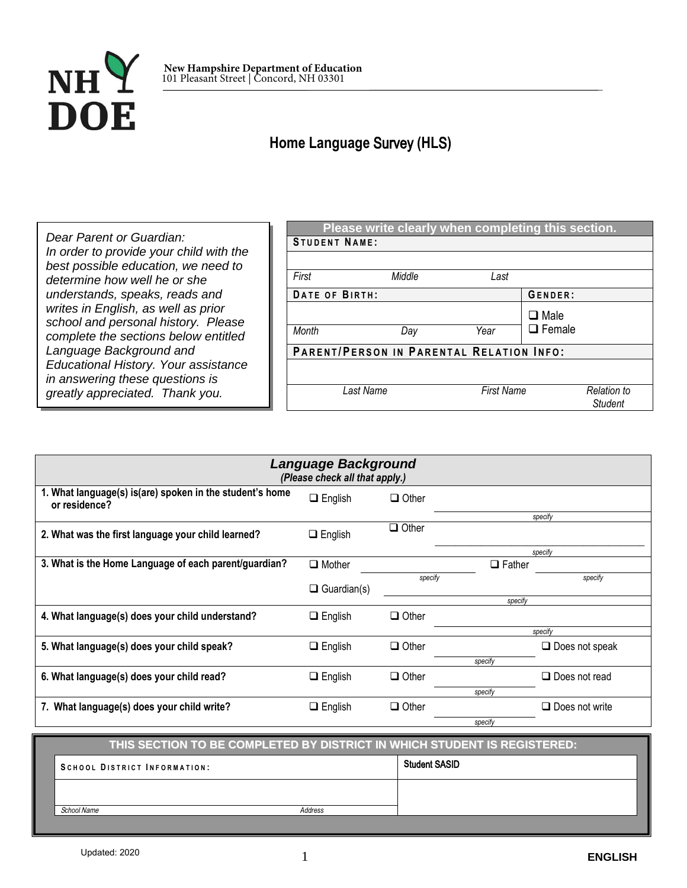

## **Home Language** Survey **(HL**S**)**

*Dear Parent or Guardian: In order to provide your child with the best possible education, we need to determine how well he or she understands, speaks, reads and writes in English, as well as prior school and personal history. Please complete the sections below entitled Language Background and Educational History. Your assistance in answering these questions is greatly appreciated. Thank you.*

| Please write clearly when completing this section. |        |      |                               |  |  |
|----------------------------------------------------|--------|------|-------------------------------|--|--|
| <b>STUDENT NAME:</b>                               |        |      |                               |  |  |
|                                                    |        |      |                               |  |  |
| First                                              | Middle | Last |                               |  |  |
| DATE OF BIRTH:                                     |        |      | GENDER:                       |  |  |
|                                                    |        |      | $\Box$ Male                   |  |  |
| <b>Month</b>                                       | Day    | Year | $\Box$ Female                 |  |  |
| PARENT/PERSON IN PARENTAL RELATION INFO:           |        |      |                               |  |  |
|                                                    |        |      |                               |  |  |
| <b>First Name</b><br>Last Name                     |        |      | Relation to<br><b>Student</b> |  |  |

| Language Background<br>(Please check all that apply.)                     |                    |              |               |                       |  |  |
|---------------------------------------------------------------------------|--------------------|--------------|---------------|-----------------------|--|--|
| 1. What language(s) is(are) spoken in the student's home<br>or residence? | $\Box$ English     | $\Box$ Other |               |                       |  |  |
| 2. What was the first language your child learned?                        | $\Box$ English     | $\Box$ Other |               | specify               |  |  |
| 3. What is the Home Language of each parent/guardian?                     | $\Box$ Mother      |              | $\Box$ Father | specify               |  |  |
|                                                                           | $\Box$ Guardian(s) | specify      | specify       | specify               |  |  |
| 4. What language(s) does your child understand?                           | $\Box$ English     | $\Box$ Other |               | specify               |  |  |
| 5. What language(s) does your child speak?                                | $\Box$ English     | $\Box$ Other | specify       | $\Box$ Does not speak |  |  |
| 6. What language(s) does your child read?                                 | $\Box$ English     | $\Box$ Other | specify       | $\Box$ Does not read  |  |  |
| 7. What language(s) does your child write?                                | $\Box$ English     | $\Box$ Other | specify       | $\Box$ Does not write |  |  |

| THIS SECTION TO BE COMPLETED BY DISTRICT IN WHICH STUDENT IS REGISTERED: |         |                      |  |  |
|--------------------------------------------------------------------------|---------|----------------------|--|--|
| SCHOOL DISTRICT INFORMATION:                                             |         | <b>Student SASID</b> |  |  |
|                                                                          |         |                      |  |  |
| School Name                                                              | Address |                      |  |  |